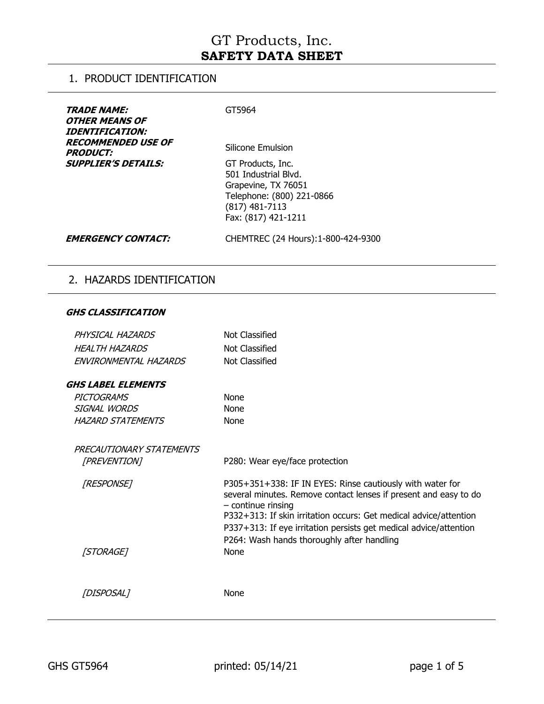### 1. PRODUCT IDENTIFICATION

| <i><b>TRADE NAME:</b></i><br><i>OTHER MEANS OF</i><br><i><b>IDENTIFICATION:</b></i><br><b>RECOMMENDED USE OF</b><br><b>PRODUCT:</b> | GT5964<br>Silicone Emulsion                                                                                                              |
|-------------------------------------------------------------------------------------------------------------------------------------|------------------------------------------------------------------------------------------------------------------------------------------|
| <b>SUPPLIER'S DETAILS:</b>                                                                                                          | GT Products, Inc.<br>501 Industrial Blvd.<br>Grapevine, TX 76051<br>Telephone: (800) 221-0866<br>$(817)$ 481-7113<br>Fax: (817) 421-1211 |
| <b>EMERGENCY CONTACT:</b>                                                                                                           | CHEMTREC (24 Hours): 1-800-424-9300                                                                                                      |

## 2. HAZARDS IDENTIFICATION

#### **GHS CLASSIFICATION**

| PHYSICAL HAZARDS          | <b>Not Classified</b>                                                                                                                                                                                                                                                                                                                         |
|---------------------------|-----------------------------------------------------------------------------------------------------------------------------------------------------------------------------------------------------------------------------------------------------------------------------------------------------------------------------------------------|
| <b>HEALTH HAZARDS</b>     | <b>Not Classified</b>                                                                                                                                                                                                                                                                                                                         |
| ENVIRONMENTAL HAZARDS     | Not Classified                                                                                                                                                                                                                                                                                                                                |
| <b>GHS LABEL ELEMENTS</b> |                                                                                                                                                                                                                                                                                                                                               |
| PICTOGRAMS                | <b>None</b>                                                                                                                                                                                                                                                                                                                                   |
| SIGNAL WORDS              | None                                                                                                                                                                                                                                                                                                                                          |
| <b>HAZARD STATEMENTS</b>  | None                                                                                                                                                                                                                                                                                                                                          |
| PRECAUTIONARY STATEMENTS  |                                                                                                                                                                                                                                                                                                                                               |
| [PREVENTION]              | P280: Wear eye/face protection                                                                                                                                                                                                                                                                                                                |
| [RESPONSE]                | P305+351+338: IF IN EYES: Rinse cautiously with water for<br>several minutes. Remove contact lenses if present and easy to do<br>$-$ continue rinsing<br>P332+313: If skin irritation occurs: Get medical advice/attention<br>P337+313: If eye irritation persists get medical advice/attention<br>P264: Wash hands thoroughly after handling |
| [STORAGE]                 | None                                                                                                                                                                                                                                                                                                                                          |
|                           |                                                                                                                                                                                                                                                                                                                                               |
| [DISPOSAL]                | None                                                                                                                                                                                                                                                                                                                                          |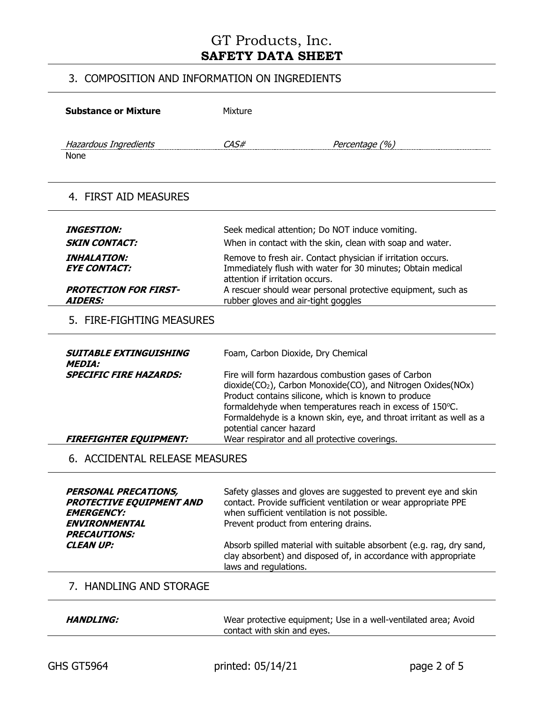## 3. COMPOSITION AND INFORMATION ON INGREDIENTS

| <b>Substance or Mixture</b>                                                                                                 | Mixture                                                                                                                                                                                                                                                                                                                                                                                                |                                                                                                                                         |  |
|-----------------------------------------------------------------------------------------------------------------------------|--------------------------------------------------------------------------------------------------------------------------------------------------------------------------------------------------------------------------------------------------------------------------------------------------------------------------------------------------------------------------------------------------------|-----------------------------------------------------------------------------------------------------------------------------------------|--|
| Hazardous Ingredients<br>None                                                                                               | CAS#                                                                                                                                                                                                                                                                                                                                                                                                   | Percentage (%)                                                                                                                          |  |
| 4. FIRST AID MEASURES                                                                                                       |                                                                                                                                                                                                                                                                                                                                                                                                        |                                                                                                                                         |  |
| <b>INGESTION:</b>                                                                                                           | Seek medical attention; Do NOT induce vomiting.                                                                                                                                                                                                                                                                                                                                                        |                                                                                                                                         |  |
| <b>SKIN CONTACT:</b>                                                                                                        |                                                                                                                                                                                                                                                                                                                                                                                                        | When in contact with the skin, clean with soap and water.                                                                               |  |
| <i><b>INHALATION:</b></i><br><b>EYE CONTACT:</b>                                                                            | Remove to fresh air. Contact physician if irritation occurs.<br>Immediately flush with water for 30 minutes; Obtain medical                                                                                                                                                                                                                                                                            |                                                                                                                                         |  |
| <b>PROTECTION FOR FIRST-</b><br><b>AIDERS:</b>                                                                              | attention if irritation occurs.<br>A rescuer should wear personal protective equipment, such as<br>rubber gloves and air-tight goggles                                                                                                                                                                                                                                                                 |                                                                                                                                         |  |
| 5. FIRE-FIGHTING MEASURES                                                                                                   |                                                                                                                                                                                                                                                                                                                                                                                                        |                                                                                                                                         |  |
| <b>SUITABLE EXTINGUISHING</b><br><b>MEDIA:</b>                                                                              | Foam, Carbon Dioxide, Dry Chemical                                                                                                                                                                                                                                                                                                                                                                     |                                                                                                                                         |  |
| <b>SPECIFIC FIRE HAZARDS:</b><br><b>FIREFIGHTER EQUIPMENT:</b>                                                              | Fire will form hazardous combustion gases of Carbon<br>dioxide(CO <sub>2</sub> ), Carbon Monoxide(CO), and Nitrogen Oxides(NOx)<br>Product contains silicone, which is known to produce<br>formaldehyde when temperatures reach in excess of 150°C.<br>Formaldehyde is a known skin, eye, and throat irritant as well as a<br>potential cancer hazard<br>Wear respirator and all protective coverings. |                                                                                                                                         |  |
| 6. ACCIDENTAL RELEASE MEASURES                                                                                              |                                                                                                                                                                                                                                                                                                                                                                                                        |                                                                                                                                         |  |
| PERSONAL PRECATIONS,<br><b>PROTECTIVE EQUIPMENT AND</b><br><b>EMERGENCY:</b><br><b>ENVIRONMENTAL</b><br><b>PRECAUTIONS:</b> | when sufficient ventilation is not possible.<br>Prevent product from entering drains.                                                                                                                                                                                                                                                                                                                  | Safety glasses and gloves are suggested to prevent eye and skin<br>contact. Provide sufficient ventilation or wear appropriate PPE      |  |
| <b>CLEAN UP:</b>                                                                                                            | laws and regulations.                                                                                                                                                                                                                                                                                                                                                                                  | Absorb spilled material with suitable absorbent (e.g. rag, dry sand,<br>clay absorbent) and disposed of, in accordance with appropriate |  |
| 7. HANDLING AND STORAGE                                                                                                     |                                                                                                                                                                                                                                                                                                                                                                                                        |                                                                                                                                         |  |
| <b>HANDLING:</b>                                                                                                            | contact with skin and eyes.                                                                                                                                                                                                                                                                                                                                                                            | Wear protective equipment; Use in a well-ventilated area; Avoid                                                                         |  |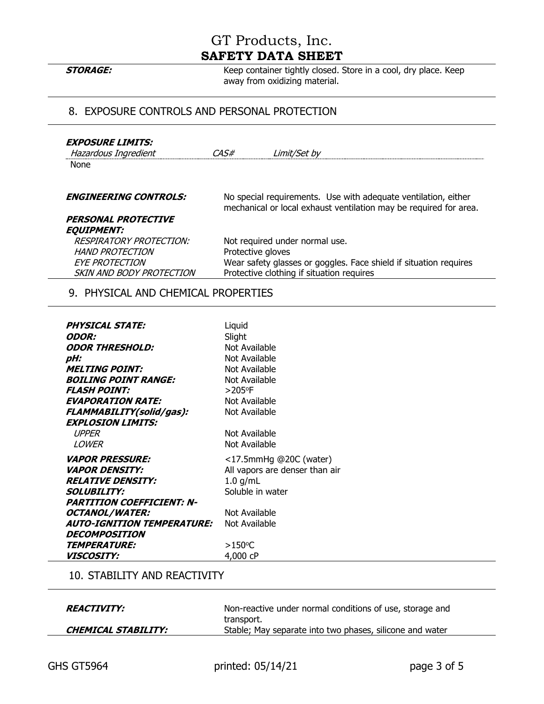**STORAGE:** Keep container tightly closed. Store in a cool, dry place. Keep away from oxidizing material.

### 8. EXPOSURE CONTROLS AND PERSONAL PROTECTION

| <b>EXPOSURE LIMITS:</b><br>Hazardous Ingredient<br><b>None</b>                                                | CAS#              | Limit/Set by                                                                                                                                     |
|---------------------------------------------------------------------------------------------------------------|-------------------|--------------------------------------------------------------------------------------------------------------------------------------------------|
| <b>ENGINEERING CONTROLS:</b>                                                                                  |                   | No special requirements. Use with adequate ventilation, either<br>mechanical or local exhaust ventilation may be required for area.              |
| PERSONAL PROTECTIVE<br><b>EQUIPMENT:</b>                                                                      |                   |                                                                                                                                                  |
| <i>RESPIRATORY PROTECTION:</i><br><b>HAND PROTECTION</b><br><b>EYE PROTECTION</b><br>SKIN AND BODY PROTECTION | Protective gloves | Not required under normal use.<br>Wear safety glasses or goggles. Face shield if situation requires<br>Protective clothing if situation requires |
|                                                                                                               |                   |                                                                                                                                                  |

### 9. PHYSICAL AND CHEMICAL PROPERTIES

| <b>PHYSICAL STATE:</b>                                                                                                 | Liquid                         |
|------------------------------------------------------------------------------------------------------------------------|--------------------------------|
| <i><b>ODOR:</b></i>                                                                                                    | Slight                         |
| <b>ODOR THRESHOLD:</b>                                                                                                 | Not Available                  |
| pH:                                                                                                                    | Not Available                  |
| <b>MELTING POINT:</b>                                                                                                  | Not Available                  |
| <b>BOILING POINT RANGE:</b>                                                                                            | Not Available                  |
| <b>FLASH POINT:</b>                                                                                                    | $>205$ °F                      |
| <b>EVAPORATION RATE:</b>                                                                                               | Not Available                  |
| FLAMMABILITY(solid/gas):                                                                                               | Not Available                  |
| <b>EXPLOSION LIMITS:</b><br><b>UPPER</b><br>LOWER                                                                      | Not Available<br>Not Available |
| <i><b>VAPOR PRESSURE:</b></i>                                                                                          | <17.5mmHg @20C (water)         |
| <i><b>VAPOR DENSITY:</b></i>                                                                                           | All vapors are denser than air |
| <b>RELATIVE DENSITY:</b>                                                                                               | $1.0$ g/mL                     |
| <i>SOLUBILITY:</i>                                                                                                     | Soluble in water               |
| <b>PARTITION COEFFICIENT: N-</b><br><b>OCTANOL/WATER:</b><br><b>AUTO-IGNITION TEMPERATURE:</b><br><b>DECOMPOSITION</b> | Not Available<br>Not Available |
| <b>TEMPERATURE:</b>                                                                                                    | $>150^{\circ}$ C               |
| <i><b>VISCOSITY:</b></i>                                                                                               | 4,000 cP                       |

#### 10. STABILITY AND REACTIVITY

| <i><b>REACTIVITY:</b></i>  | Non-reactive under normal conditions of use, storage and |
|----------------------------|----------------------------------------------------------|
|                            | transport.                                               |
| <b>CHEMICAL STABILITY:</b> | Stable; May separate into two phases, silicone and water |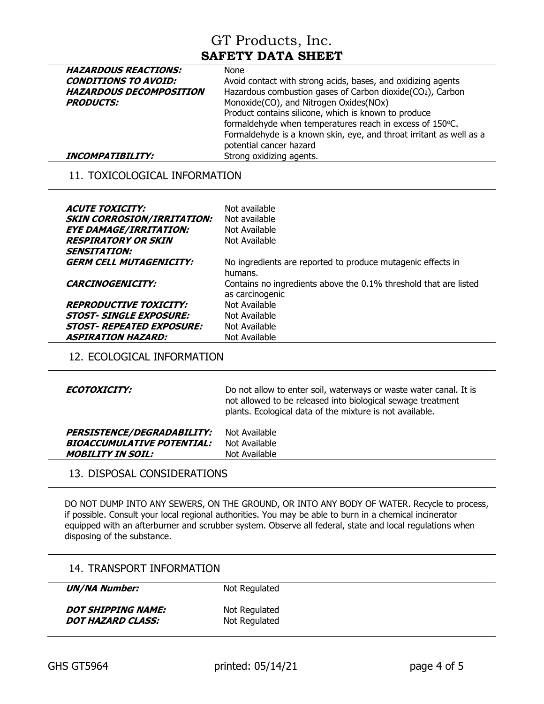| <b>HAZARDOUS REACTIONS:</b>    | <b>None</b>                                                         |
|--------------------------------|---------------------------------------------------------------------|
| <b>CONDITIONS TO AVOID:</b>    | Avoid contact with strong acids, bases, and oxidizing agents        |
| <b>HAZARDOUS DECOMPOSITION</b> | Hazardous combustion gases of Carbon dioxide(CO2), Carbon           |
| <b>PRODUCTS:</b>               | Monoxide(CO), and Nitrogen Oxides(NOx)                              |
|                                | Product contains silicone, which is known to produce                |
|                                | formaldehyde when temperatures reach in excess of 150°C.            |
|                                | Formaldehyde is a known skin, eye, and throat irritant as well as a |
|                                | potential cancer hazard                                             |
| <b>INCOMPATIBILITY:</b>        | Strong oxidizing agents.                                            |

### 11. TOXICOLOGICAL INFORMATION

| <i>ACUTE TOXICITY:</i><br><b>SKIN CORROSION/IRRITATION:</b><br><b>EYE DAMAGE/IRRITATION:</b><br><b>RESPIRATORY OR SKIN</b><br><b>SENSITATION:</b>     | Not available<br>Not available<br>Not Available<br>Not Available                                                                           |
|-------------------------------------------------------------------------------------------------------------------------------------------------------|--------------------------------------------------------------------------------------------------------------------------------------------|
| <b>GERM CELL MUTAGENICITY:</b><br><i><b>CARCINOGENICITY:</b></i>                                                                                      | No ingredients are reported to produce mutagenic effects in<br>humans.<br>Contains no ingredients above the 0.1% threshold that are listed |
| <i><b>REPRODUCTIVE TOXICITY:</b></i><br><i><b>STOST- SINGLE EXPOSURE:</b></i><br><i>STOST- REPEATED EXPOSURE:</i><br><i><b>ASPIRATION HAZARD:</b></i> | as carcinogenic<br>Not Available<br>Not Available<br>Not Available<br>Not Available                                                        |

12. ECOLOGICAL INFORMATION

| <i>ECOTOXICITY:</i>               | Do not allow to enter soil, waterways or waste water canal. It is<br>not allowed to be released into biological sewage treatment<br>plants. Ecological data of the mixture is not available. |
|-----------------------------------|----------------------------------------------------------------------------------------------------------------------------------------------------------------------------------------------|
| <b>PERSISTENCE/DEGRADABILITY:</b> | Not Available                                                                                                                                                                                |
| <b>BIOACCUMULATIVE POTENTIAL:</b> | Not Available                                                                                                                                                                                |
| <b>MOBILITY IN SOIL:</b>          | Not Available                                                                                                                                                                                |

### 13. DISPOSAL CONSIDERATIONS

DO NOT DUMP INTO ANY SEWERS, ON THE GROUND, OR INTO ANY BODY OF WATER. Recycle to process, if possible. Consult your local regional authorities. You may be able to burn in a chemical incinerator equipped with an afterburner and scrubber system. Observe all federal, state and local regulations when disposing of the substance.

### 14. TRANSPORT INFORMATION

**UN/NA Number:** Not Regulated

**DOT SHIPPING NAME:** Not Regulated **DOT HAZARD CLASS:** Not Regulated